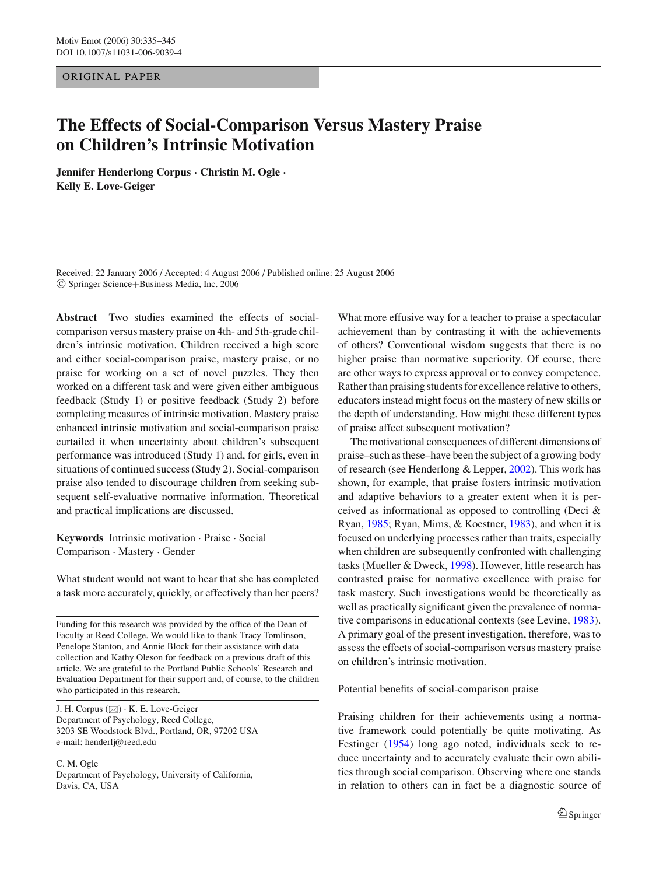# ORIGINAL PAPER

# **The Effects of Social-Comparison Versus Mastery Praise on Children's Intrinsic Motivation**

**Jennifer Henderlong Corpus · Christin M. Ogle · Kelly E. Love-Geiger**

Received: 22 January 2006 / Accepted: 4 August 2006 / Published online: 25 August 2006 <sup>C</sup> Springer Science+Business Media, Inc. 2006

**Abstract** Two studies examined the effects of socialcomparison versus mastery praise on 4th- and 5th-grade children's intrinsic motivation. Children received a high score and either social-comparison praise, mastery praise, or no praise for working on a set of novel puzzles. They then worked on a different task and were given either ambiguous feedback (Study 1) or positive feedback (Study 2) before completing measures of intrinsic motivation. Mastery praise enhanced intrinsic motivation and social-comparison praise curtailed it when uncertainty about children's subsequent performance was introduced (Study 1) and, for girls, even in situations of continued success (Study 2). Social-comparison praise also tended to discourage children from seeking subsequent self-evaluative normative information. Theoretical and practical implications are discussed.

**Keywords** Intrinsic motivation . Praise . Social Comparison . Mastery . Gender

What student would not want to hear that she has completed a task more accurately, quickly, or effectively than her peers?

Funding for this research was provided by the office of the Dean of Faculty at Reed College. We would like to thank Tracy Tomlinson, Penelope Stanton, and Annie Block for their assistance with data collection and Kathy Oleson for feedback on a previous draft of this article. We are grateful to the Portland Public Schools' Research and Evaluation Department for their support and, of course, to the children who participated in this research.

J. H. Corpus  $(\boxtimes) \cdot K$ . E. Love-Geiger Department of Psychology, Reed College, 3203 SE Woodstock Blvd., Portland, OR, 97202 USA e-mail: henderlj@reed.edu

C. M. Ogle Department of Psychology, University of California, Davis, CA, USA

What more effusive way for a teacher to praise a spectacular achievement than by contrasting it with the achievements of others? Conventional wisdom suggests that there is no higher praise than normative superiority. Of course, there are other ways to express approval or to convey competence. Rather than praising students for excellence relative to others, educators instead might focus on the mastery of new skills or the depth of understanding. How might these different types of praise affect subsequent motivation?

The motivational consequences of different dimensions of praise–such as these–have been the subject of a growing body of research (see Henderlong & Lepper, [2002\)](#page-9-0). This work has shown, for example, that praise fosters intrinsic motivation and adaptive behaviors to a greater extent when it is perceived as informational as opposed to controlling (Deci & Ryan, [1985;](#page-9-1) Ryan, Mims, & Koestner, [1983\)](#page-10-0), and when it is focused on underlying processes rather than traits, especially when children are subsequently confronted with challenging tasks (Mueller & Dweck, [1998\)](#page-10-1). However, little research has contrasted praise for normative excellence with praise for task mastery. Such investigations would be theoretically as well as practically significant given the prevalence of normative comparisons in educational contexts (see Levine, [1983\)](#page-10-2). A primary goal of the present investigation, therefore, was to assess the effects of social-comparison versus mastery praise on children's intrinsic motivation.

Potential benefits of social-comparison praise

Praising children for their achievements using a normative framework could potentially be quite motivating. As Festinger [\(1954\)](#page-9-2) long ago noted, individuals seek to reduce uncertainty and to accurately evaluate their own abilities through social comparison. Observing where one stands in relation to others can in fact be a diagnostic source of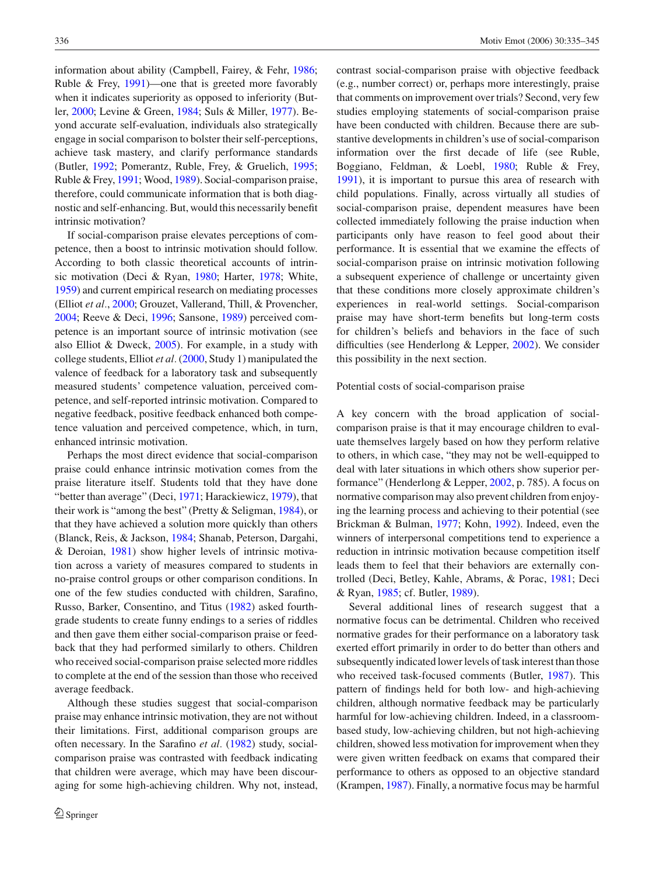information about ability (Campbell, Fairey, & Fehr, [1986;](#page-9-3) Ruble & Frey, [1991\)](#page-10-3)—one that is greeted more favorably when it indicates superiority as opposed to inferiority (Butler, [2000;](#page-9-4) Levine & Green, [1984;](#page-10-4) Suls & Miller, [1977\)](#page-10-5). Beyond accurate self-evaluation, individuals also strategically engage in social comparison to bolster their self-perceptions, achieve task mastery, and clarify performance standards (Butler, [1992;](#page-9-5) Pomerantz, Ruble, Frey, & Gruelich, [1995;](#page-10-6) Ruble & Frey, [1991;](#page-10-3) Wood, [1989\)](#page-10-7). Social-comparison praise, therefore, could communicate information that is both diagnostic and self-enhancing. But, would this necessarily benefit intrinsic motivation?

If social-comparison praise elevates perceptions of competence, then a boost to intrinsic motivation should follow. According to both classic theoretical accounts of intrinsic motivation (Deci & Ryan, [1980;](#page-9-6) Harter, [1978;](#page-9-7) White, [1959\)](#page-10-8) and current empirical research on mediating processes (Elliot *et al.*, [2000;](#page-9-8) Grouzet, Vallerand, Thill, & Provencher, [2004;](#page-9-9) Reeve & Deci, [1996;](#page-10-9) Sansone, [1989\)](#page-10-10) perceived competence is an important source of intrinsic motivation (see also Elliot & Dweck, [2005\)](#page-9-10). For example, in a study with college students, Elliot *et al.* [\(2000,](#page-9-8) Study 1) manipulated the valence of feedback for a laboratory task and subsequently measured students' competence valuation, perceived competence, and self-reported intrinsic motivation. Compared to negative feedback, positive feedback enhanced both competence valuation and perceived competence, which, in turn, enhanced intrinsic motivation.

Perhaps the most direct evidence that social-comparison praise could enhance intrinsic motivation comes from the praise literature itself. Students told that they have done "better than average" (Deci, [1971;](#page-9-11) Harackiewicz, [1979\)](#page-9-12), that their work is "among the best" (Pretty & Seligman, [1984\)](#page-10-11), or that they have achieved a solution more quickly than others (Blanck, Reis, & Jackson, [1984;](#page-9-13) Shanab, Peterson, Dargahi, & Deroian, [1981\)](#page-10-12) show higher levels of intrinsic motivation across a variety of measures compared to students in no-praise control groups or other comparison conditions. In one of the few studies conducted with children, Sarafino, Russo, Barker, Consentino, and Titus [\(1982\)](#page-10-13) asked fourthgrade students to create funny endings to a series of riddles and then gave them either social-comparison praise or feedback that they had performed similarly to others. Children who received social-comparison praise selected more riddles to complete at the end of the session than those who received average feedback.

Although these studies suggest that social-comparison praise may enhance intrinsic motivation, they are not without their limitations. First, additional comparison groups are often necessary. In the Sarafino *et al.* [\(1982\)](#page-10-13) study, socialcomparison praise was contrasted with feedback indicating that children were average, which may have been discouraging for some high-achieving children. Why not, instead, contrast social-comparison praise with objective feedback (e.g., number correct) or, perhaps more interestingly, praise that comments on improvement over trials? Second, very few studies employing statements of social-comparison praise have been conducted with children. Because there are substantive developments in children's use of social-comparison information over the first decade of life (see Ruble, Boggiano, Feldman, & Loebl, [1980;](#page-10-14) Ruble & Frey, [1991\)](#page-10-3), it is important to pursue this area of research with child populations. Finally, across virtually all studies of social-comparison praise, dependent measures have been collected immediately following the praise induction when participants only have reason to feel good about their performance. It is essential that we examine the effects of social-comparison praise on intrinsic motivation following a subsequent experience of challenge or uncertainty given that these conditions more closely approximate children's experiences in real-world settings. Social-comparison praise may have short-term benefits but long-term costs for children's beliefs and behaviors in the face of such difficulties (see Henderlong & Lepper, [2002\)](#page-9-0). We consider this possibility in the next section.

Potential costs of social-comparison praise

A key concern with the broad application of socialcomparison praise is that it may encourage children to evaluate themselves largely based on how they perform relative to others, in which case, "they may not be well-equipped to deal with later situations in which others show superior performance" (Henderlong & Lepper, [2002,](#page-9-0) p. 785). A focus on normative comparison may also prevent children from enjoying the learning process and achieving to their potential (see Brickman & Bulman, [1977;](#page-9-14) Kohn, [1992\)](#page-9-15). Indeed, even the winners of interpersonal competitions tend to experience a reduction in intrinsic motivation because competition itself leads them to feel that their behaviors are externally controlled (Deci, Betley, Kahle, Abrams, & Porac, [1981;](#page-9-16) Deci & Ryan, [1985;](#page-9-1) cf. Butler, [1989\)](#page-9-17).

Several additional lines of research suggest that a normative focus can be detrimental. Children who received normative grades for their performance on a laboratory task exerted effort primarily in order to do better than others and subsequently indicated lower levels of task interest than those who received task-focused comments (Butler, [1987\)](#page-9-18). This pattern of findings held for both low- and high-achieving children, although normative feedback may be particularly harmful for low-achieving children. Indeed, in a classroombased study, low-achieving children, but not high-achieving children, showed less motivation for improvement when they were given written feedback on exams that compared their performance to others as opposed to an objective standard (Krampen, [1987\)](#page-9-19). Finally, a normative focus may be harmful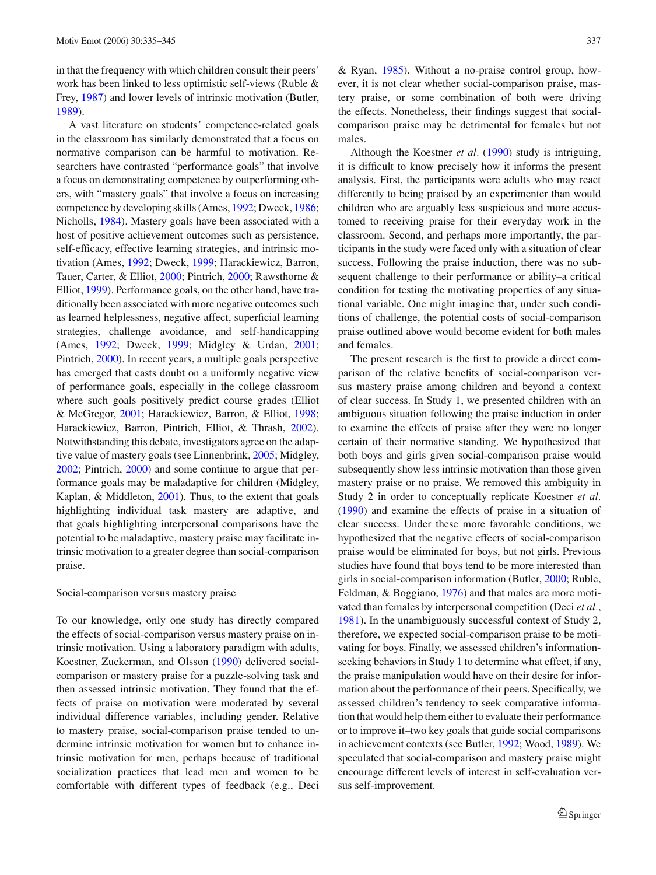in that the frequency with which children consult their peers' work has been linked to less optimistic self-views (Ruble & Frey, [1987\)](#page-10-15) and lower levels of intrinsic motivation (Butler, [1989\)](#page-9-17).

A vast literature on students' competence-related goals in the classroom has similarly demonstrated that a focus on normative comparison can be harmful to motivation. Researchers have contrasted "performance goals" that involve a focus on demonstrating competence by outperforming others, with "mastery goals" that involve a focus on increasing competence by developing skills (Ames, [1992;](#page-9-20) Dweck, [1986;](#page-9-21) Nicholls, [1984\)](#page-10-16). Mastery goals have been associated with a host of positive achievement outcomes such as persistence, self-efficacy, effective learning strategies, and intrinsic motivation (Ames, [1992;](#page-9-20) Dweck, [1999;](#page-9-22) Harackiewicz, Barron, Tauer, Carter, & Elliot, [2000;](#page-9-23) Pintrich, [2000;](#page-10-17) Rawsthorne & Elliot, [1999\)](#page-10-18). Performance goals, on the other hand, have traditionally been associated with more negative outcomes such as learned helplessness, negative affect, superficial learning strategies, challenge avoidance, and self-handicapping (Ames, [1992;](#page-9-20) Dweck, [1999;](#page-9-22) Midgley & Urdan, [2001;](#page-10-19) Pintrich, [2000\)](#page-10-17). In recent years, a multiple goals perspective has emerged that casts doubt on a uniformly negative view of performance goals, especially in the college classroom where such goals positively predict course grades (Elliot & McGregor, [2001;](#page-9-24) Harackiewicz, Barron, & Elliot, [1998;](#page-9-25) Harackiewicz, Barron, Pintrich, Elliot, & Thrash, [2002\)](#page-9-26). Notwithstanding this debate, investigators agree on the adaptive value of mastery goals (see Linnenbrink, [2005;](#page-10-20) Midgley, [2002;](#page-10-21) Pintrich, [2000\)](#page-10-17) and some continue to argue that performance goals may be maladaptive for children (Midgley, Kaplan, & Middleton, [2001\)](#page-10-22). Thus, to the extent that goals highlighting individual task mastery are adaptive, and that goals highlighting interpersonal comparisons have the potential to be maladaptive, mastery praise may facilitate intrinsic motivation to a greater degree than social-comparison praise.

## Social-comparison versus mastery praise

To our knowledge, only one study has directly compared the effects of social-comparison versus mastery praise on intrinsic motivation. Using a laboratory paradigm with adults, Koestner, Zuckerman, and Olsson [\(1990\)](#page-9-27) delivered socialcomparison or mastery praise for a puzzle-solving task and then assessed intrinsic motivation. They found that the effects of praise on motivation were moderated by several individual difference variables, including gender. Relative to mastery praise, social-comparison praise tended to undermine intrinsic motivation for women but to enhance intrinsic motivation for men, perhaps because of traditional socialization practices that lead men and women to be comfortable with different types of feedback (e.g., Deci

& Ryan, [1985\)](#page-9-1). Without a no-praise control group, however, it is not clear whether social-comparison praise, mastery praise, or some combination of both were driving the effects. Nonetheless, their findings suggest that socialcomparison praise may be detrimental for females but not males.

Although the Koestner *et al.* [\(1990\)](#page-9-27) study is intriguing, it is difficult to know precisely how it informs the present analysis. First, the participants were adults who may react differently to being praised by an experimenter than would children who are arguably less suspicious and more accustomed to receiving praise for their everyday work in the classroom. Second, and perhaps more importantly, the participants in the study were faced only with a situation of clear success. Following the praise induction, there was no subsequent challenge to their performance or ability–a critical condition for testing the motivating properties of any situational variable. One might imagine that, under such conditions of challenge, the potential costs of social-comparison praise outlined above would become evident for both males and females.

The present research is the first to provide a direct comparison of the relative benefits of social-comparison versus mastery praise among children and beyond a context of clear success. In Study 1, we presented children with an ambiguous situation following the praise induction in order to examine the effects of praise after they were no longer certain of their normative standing. We hypothesized that both boys and girls given social-comparison praise would subsequently show less intrinsic motivation than those given mastery praise or no praise. We removed this ambiguity in Study 2 in order to conceptually replicate Koestner *et al.* [\(1990\)](#page-9-27) and examine the effects of praise in a situation of clear success. Under these more favorable conditions, we hypothesized that the negative effects of social-comparison praise would be eliminated for boys, but not girls. Previous studies have found that boys tend to be more interested than girls in social-comparison information (Butler, [2000;](#page-9-4) Ruble, Feldman, & Boggiano, [1976\)](#page-10-23) and that males are more motivated than females by interpersonal competition (Deci *et al.*, [1981\)](#page-9-16). In the unambiguously successful context of Study 2, therefore, we expected social-comparison praise to be motivating for boys. Finally, we assessed children's informationseeking behaviors in Study 1 to determine what effect, if any, the praise manipulation would have on their desire for information about the performance of their peers. Specifically, we assessed children's tendency to seek comparative information that would help them either to evaluate their performance or to improve it–two key goals that guide social comparisons in achievement contexts (see Butler, [1992;](#page-9-5) Wood, [1989\)](#page-10-7). We speculated that social-comparison and mastery praise might encourage different levels of interest in self-evaluation versus self-improvement.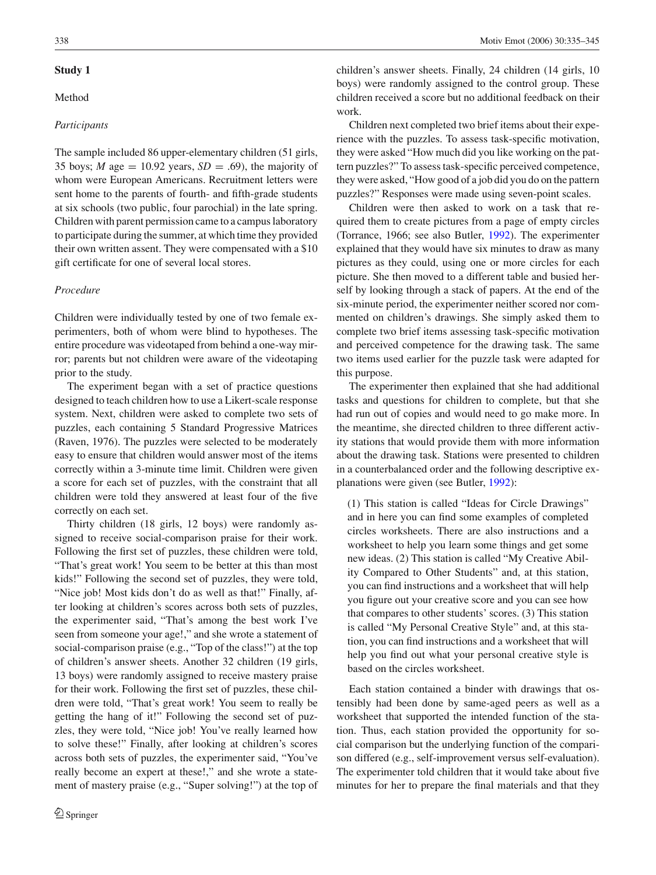# **Study 1**

# Method

## *Participants*

The sample included 86 upper-elementary children (51 girls, 35 boys; *M* age = 10.92 years,  $SD = .69$ ), the majority of whom were European Americans. Recruitment letters were sent home to the parents of fourth- and fifth-grade students at six schools (two public, four parochial) in the late spring. Children with parent permission came to a campus laboratory to participate during the summer, at which time they provided their own written assent. They were compensated with a \$10 gift certificate for one of several local stores.

# *Procedure*

Children were individually tested by one of two female experimenters, both of whom were blind to hypotheses. The entire procedure was videotaped from behind a one-way mirror; parents but not children were aware of the videotaping prior to the study.

The experiment began with a set of practice questions designed to teach children how to use a Likert-scale response system. Next, children were asked to complete two sets of puzzles, each containing 5 Standard Progressive Matrices (Raven, 1976). The puzzles were selected to be moderately easy to ensure that children would answer most of the items correctly within a 3-minute time limit. Children were given a score for each set of puzzles, with the constraint that all children were told they answered at least four of the five correctly on each set.

Thirty children (18 girls, 12 boys) were randomly assigned to receive social-comparison praise for their work. Following the first set of puzzles, these children were told, "That's great work! You seem to be better at this than most kids!" Following the second set of puzzles, they were told, "Nice job! Most kids don't do as well as that!" Finally, after looking at children's scores across both sets of puzzles, the experimenter said, "That's among the best work I've seen from someone your age!," and she wrote a statement of social-comparison praise (e.g., "Top of the class!") at the top of children's answer sheets. Another 32 children (19 girls, 13 boys) were randomly assigned to receive mastery praise for their work. Following the first set of puzzles, these children were told, "That's great work! You seem to really be getting the hang of it!" Following the second set of puzzles, they were told, "Nice job! You've really learned how to solve these!" Finally, after looking at children's scores across both sets of puzzles, the experimenter said, "You've really become an expert at these!," and she wrote a statement of mastery praise (e.g., "Super solving!") at the top of children's answer sheets. Finally, 24 children (14 girls, 10 boys) were randomly assigned to the control group. These children received a score but no additional feedback on their work.

Children next completed two brief items about their experience with the puzzles. To assess task-specific motivation, they were asked "How much did you like working on the pattern puzzles?" To assess task-specific perceived competence, they were asked, "How good of a job did you do on the pattern puzzles?" Responses were made using seven-point scales.

Children were then asked to work on a task that required them to create pictures from a page of empty circles (Torrance, 1966; see also Butler, [1992\)](#page-9-5). The experimenter explained that they would have six minutes to draw as many pictures as they could, using one or more circles for each picture. She then moved to a different table and busied herself by looking through a stack of papers. At the end of the six-minute period, the experimenter neither scored nor commented on children's drawings. She simply asked them to complete two brief items assessing task-specific motivation and perceived competence for the drawing task. The same two items used earlier for the puzzle task were adapted for this purpose.

The experimenter then explained that she had additional tasks and questions for children to complete, but that she had run out of copies and would need to go make more. In the meantime, she directed children to three different activity stations that would provide them with more information about the drawing task. Stations were presented to children in a counterbalanced order and the following descriptive explanations were given (see Butler, [1992\)](#page-9-5):

(1) This station is called "Ideas for Circle Drawings" and in here you can find some examples of completed circles worksheets. There are also instructions and a worksheet to help you learn some things and get some new ideas. (2) This station is called "My Creative Ability Compared to Other Students" and, at this station, you can find instructions and a worksheet that will help you figure out your creative score and you can see how that compares to other students' scores. (3) This station is called "My Personal Creative Style" and, at this station, you can find instructions and a worksheet that will help you find out what your personal creative style is based on the circles worksheet.

Each station contained a binder with drawings that ostensibly had been done by same-aged peers as well as a worksheet that supported the intended function of the station. Thus, each station provided the opportunity for social comparison but the underlying function of the comparison differed (e.g., self-improvement versus self-evaluation). The experimenter told children that it would take about five minutes for her to prepare the final materials and that they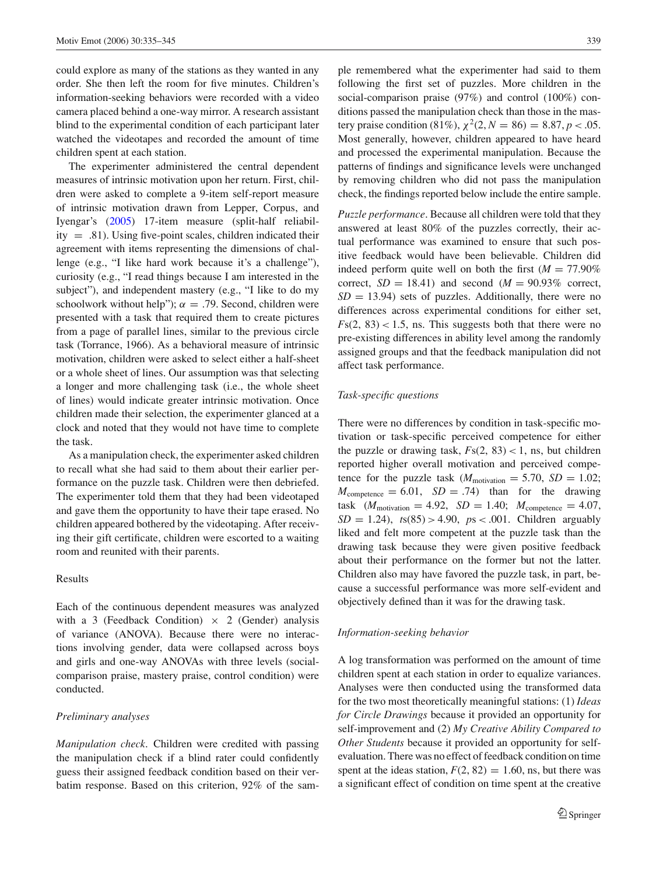could explore as many of the stations as they wanted in any order. She then left the room for five minutes. Children's information-seeking behaviors were recorded with a video camera placed behind a one-way mirror. A research assistant blind to the experimental condition of each participant later watched the videotapes and recorded the amount of time children spent at each station.

The experimenter administered the central dependent measures of intrinsic motivation upon her return. First, children were asked to complete a 9-item self-report measure of intrinsic motivation drawn from Lepper, Corpus, and Iyengar's [\(2005\)](#page-9-28) 17-item measure (split-half reliability  $= .81$ ). Using five-point scales, children indicated their agreement with items representing the dimensions of challenge (e.g., "I like hard work because it's a challenge"), curiosity (e.g., "I read things because I am interested in the subject"), and independent mastery (e.g., "I like to do my schoolwork without help");  $\alpha = .79$ . Second, children were presented with a task that required them to create pictures from a page of parallel lines, similar to the previous circle task (Torrance, 1966). As a behavioral measure of intrinsic motivation, children were asked to select either a half-sheet or a whole sheet of lines. Our assumption was that selecting a longer and more challenging task (i.e., the whole sheet of lines) would indicate greater intrinsic motivation. Once children made their selection, the experimenter glanced at a clock and noted that they would not have time to complete the task.

As a manipulation check, the experimenter asked children to recall what she had said to them about their earlier performance on the puzzle task. Children were then debriefed. The experimenter told them that they had been videotaped and gave them the opportunity to have their tape erased. No children appeared bothered by the videotaping. After receiving their gift certificate, children were escorted to a waiting room and reunited with their parents.

# Results

Each of the continuous dependent measures was analyzed with a 3 (Feedback Condition)  $\times$  2 (Gender) analysis of variance (ANOVA). Because there were no interactions involving gender, data were collapsed across boys and girls and one-way ANOVAs with three levels (socialcomparison praise, mastery praise, control condition) were conducted.

## *Preliminary analyses*

*Manipulation check*. Children were credited with passing the manipulation check if a blind rater could confidently guess their assigned feedback condition based on their verbatim response. Based on this criterion, 92% of the sample remembered what the experimenter had said to them following the first set of puzzles. More children in the social-comparison praise (97%) and control (100%) conditions passed the manipulation check than those in the mastery praise condition (81%),  $\chi^2(2, N = 86) = 8.87, p < .05$ . Most generally, however, children appeared to have heard and processed the experimental manipulation. Because the patterns of findings and significance levels were unchanged by removing children who did not pass the manipulation check, the findings reported below include the entire sample.

*Puzzle performance*. Because all children were told that they answered at least 80% of the puzzles correctly, their actual performance was examined to ensure that such positive feedback would have been believable. Children did indeed perform quite well on both the first  $(M = 77.90\%$ correct,  $SD = 18.41$ ) and second ( $M = 90.93\%$  correct,  $SD = 13.94$ ) sets of puzzles. Additionally, there were no differences across experimental conditions for either set,  $Fs(2, 83)$  < 1.5, ns. This suggests both that there were no pre-existing differences in ability level among the randomly assigned groups and that the feedback manipulation did not affect task performance.

## *Task-specific questions*

There were no differences by condition in task-specific motivation or task-specific perceived competence for either the puzzle or drawing task,  $Fs(2, 83) < 1$ , ns, but children reported higher overall motivation and perceived competence for the puzzle task ( $M_{\text{motivation}} = 5.70$ ,  $SD = 1.02$ ;  $M_{\text{competence}} = 6.01$ ,  $SD = .74$ ) than for the drawing task  $(M_{\text{motivation}} = 4.92, SD = 1.40; M_{\text{complete}} = 4.07,$  $SD = 1.24$ ,  $ts(85) > 4.90$ ,  $ps < .001$ . Children arguably liked and felt more competent at the puzzle task than the drawing task because they were given positive feedback about their performance on the former but not the latter. Children also may have favored the puzzle task, in part, because a successful performance was more self-evident and objectively defined than it was for the drawing task.

#### *Information-seeking behavior*

A log transformation was performed on the amount of time children spent at each station in order to equalize variances. Analyses were then conducted using the transformed data for the two most theoretically meaningful stations: (1) *Ideas for Circle Drawings* because it provided an opportunity for self-improvement and (2) *My Creative Ability Compared to Other Students* because it provided an opportunity for selfevaluation. There was no effect of feedback condition on time spent at the ideas station,  $F(2, 82) = 1.60$ , ns, but there was a significant effect of condition on time spent at the creative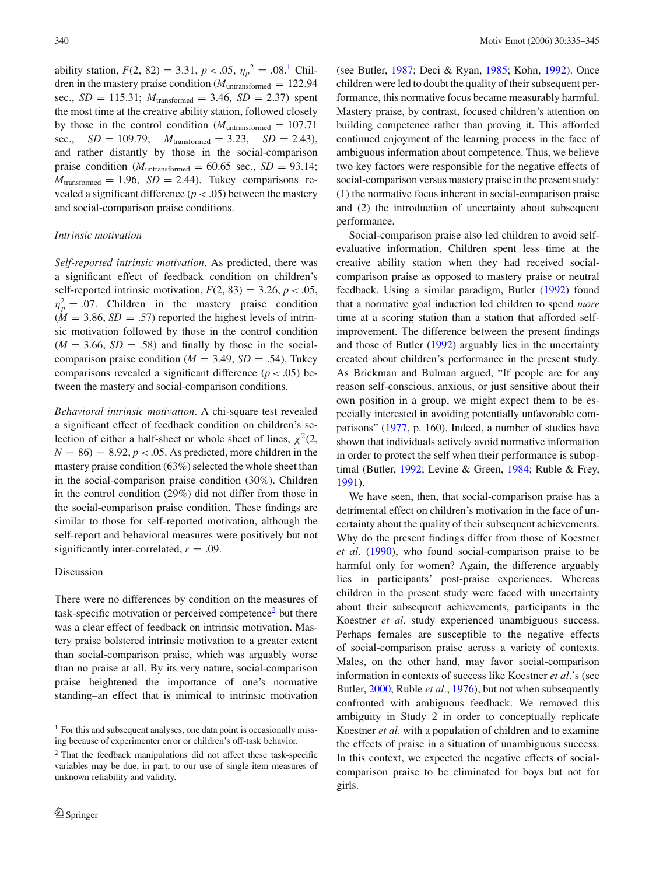ability station,  $F(2, 82) = 3.31$  $F(2, 82) = 3.31$ ,  $p < .05$ ,  $\eta_p^2 = .08$ .<sup>1</sup> Children in the mastery praise condition ( $M<sub>untransformed</sub> = 122.94$ sec.,  $SD = 115.31$ ;  $M_{transformed} = 3.46$ ,  $SD = 2.37$ ) spent the most time at the creative ability station, followed closely by those in the control condition ( $M_{\text{untransformed}} = 107.71$ sec.,  $SD = 109.79$ ;  $M_{\text{transformed}} = 3.23$ ,  $SD = 2.43$ ), and rather distantly by those in the social-comparison praise condition ( $M_{\text{untransformed}} = 60.65 \text{ sec.}, SD = 93.14;$  $M<sub>transformed</sub> = 1.96$ ,  $SD = 2.44$ ). Tukey comparisons revealed a significant difference  $(p < .05)$  between the mastery and social-comparison praise conditions.

## *Intrinsic motivation*

*Self-reported intrinsic motivation*. As predicted, there was a significant effect of feedback condition on children's self-reported intrinsic motivation,  $F(2, 83) = 3.26, p < .05$ ,  $\eta_p^2 = .07$ . Children in the mastery praise condition  $(M = 3.86, SD = .57)$  reported the highest levels of intrinsic motivation followed by those in the control condition  $(M = 3.66, SD = .58)$  and finally by those in the socialcomparison praise condition ( $M = 3.49$ ,  $SD = .54$ ). Tukey comparisons revealed a significant difference  $(p < .05)$  between the mastery and social-comparison conditions.

*Behavioral intrinsic motivation.* A chi-square test revealed a significant effect of feedback condition on children's selection of either a half-sheet or whole sheet of lines,  $\chi^2(2, \mathbf{\hat{z}})$  $N = 86$ ) = 8.92,  $p < .05$ . As predicted, more children in the mastery praise condition (63%) selected the whole sheet than in the social-comparison praise condition (30%). Children in the control condition (29%) did not differ from those in the social-comparison praise condition. These findings are similar to those for self-reported motivation, although the self-report and behavioral measures were positively but not significantly inter-correlated,  $r = .09$ .

# Discussion

There were no differences by condition on the measures of task-specific motivation or perceived competence<sup>2</sup> but there was a clear effect of feedback on intrinsic motivation. Mastery praise bolstered intrinsic motivation to a greater extent than social-comparison praise, which was arguably worse than no praise at all. By its very nature, social-comparison praise heightened the importance of one's normative standing–an effect that is inimical to intrinsic motivation (see Butler, [1987;](#page-9-18) Deci & Ryan, [1985;](#page-9-1) Kohn, [1992\)](#page-9-15). Once children were led to doubt the quality of their subsequent performance, this normative focus became measurably harmful. Mastery praise, by contrast, focused children's attention on building competence rather than proving it. This afforded continued enjoyment of the learning process in the face of ambiguous information about competence. Thus, we believe two key factors were responsible for the negative effects of social-comparison versus mastery praise in the present study: (1) the normative focus inherent in social-comparison praise and (2) the introduction of uncertainty about subsequent performance.

Social-comparison praise also led children to avoid selfevaluative information. Children spent less time at the creative ability station when they had received socialcomparison praise as opposed to mastery praise or neutral feedback. Using a similar paradigm, Butler [\(1992\)](#page-9-5) found that a normative goal induction led children to spend *more* time at a scoring station than a station that afforded selfimprovement. The difference between the present findings and those of Butler [\(1992\)](#page-9-5) arguably lies in the uncertainty created about children's performance in the present study. As Brickman and Bulman argued, "If people are for any reason self-conscious, anxious, or just sensitive about their own position in a group, we might expect them to be especially interested in avoiding potentially unfavorable comparisons" [\(1977,](#page-9-14) p. 160). Indeed, a number of studies have shown that individuals actively avoid normative information in order to protect the self when their performance is suboptimal (Butler, [1992;](#page-9-5) Levine & Green, [1984;](#page-10-4) Ruble & Frey, [1991\)](#page-10-3).

We have seen, then, that social-comparison praise has a detrimental effect on children's motivation in the face of uncertainty about the quality of their subsequent achievements. Why do the present findings differ from those of Koestner *et al.* [\(1990\)](#page-9-27), who found social-comparison praise to be harmful only for women? Again, the difference arguably lies in participants' post-praise experiences. Whereas children in the present study were faced with uncertainty about their subsequent achievements, participants in the Koestner *et al.* study experienced unambiguous success. Perhaps females are susceptible to the negative effects of social-comparison praise across a variety of contexts. Males, on the other hand, may favor social-comparison information in contexts of success like Koestner *et al.*'s (see Butler, [2000;](#page-9-4) Ruble *et al.*, [1976\)](#page-10-23), but not when subsequently confronted with ambiguous feedback. We removed this ambiguity in Study 2 in order to conceptually replicate Koestner *et al.* with a population of children and to examine the effects of praise in a situation of unambiguous success. In this context, we expected the negative effects of socialcomparison praise to be eliminated for boys but not for girls.

<span id="page-5-0"></span><sup>&</sup>lt;sup>1</sup> For this and subsequent analyses, one data point is occasionally missing because of experimenter error or children's off-task behavior.

<span id="page-5-1"></span><sup>2</sup> That the feedback manipulations did not affect these task-specific variables may be due, in part, to our use of single-item measures of unknown reliability and validity.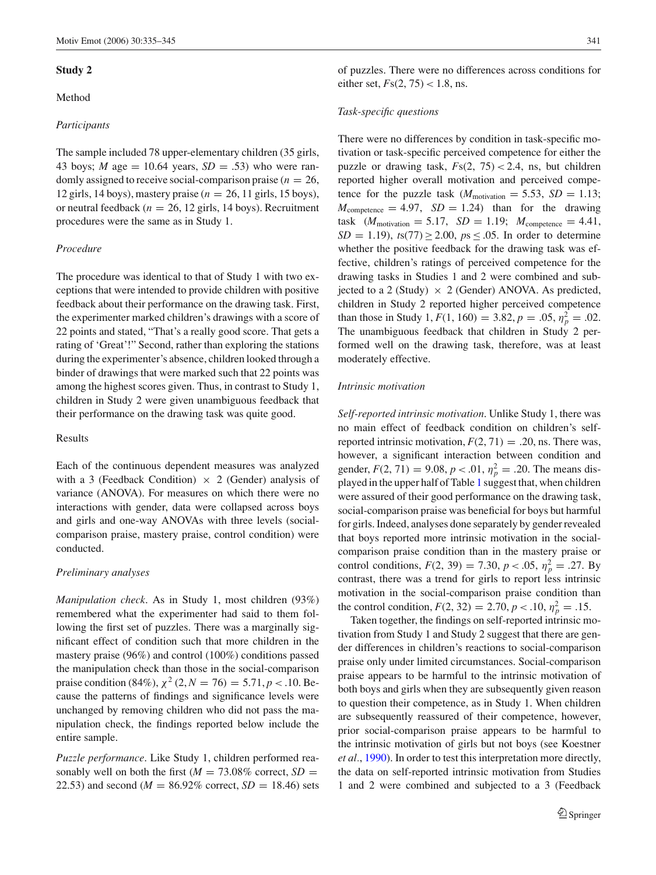#### **Study 2**

# Method

## *Participants*

The sample included 78 upper-elementary children (35 girls, 43 boys; *M* age  $= 10.64$  years, *SD*  $= .53$ ) who were randomly assigned to receive social-comparison praise ( $n = 26$ , 12 girls, 14 boys), mastery praise (*n* = 26, 11 girls, 15 boys), or neutral feedback ( $n = 26$ , 12 girls, 14 boys). Recruitment procedures were the same as in Study 1.

# *Procedure*

The procedure was identical to that of Study 1 with two exceptions that were intended to provide children with positive feedback about their performance on the drawing task. First, the experimenter marked children's drawings with a score of 22 points and stated, "That's a really good score. That gets a rating of 'Great'!" Second, rather than exploring the stations during the experimenter's absence, children looked through a binder of drawings that were marked such that 22 points was among the highest scores given. Thus, in contrast to Study 1, children in Study 2 were given unambiguous feedback that their performance on the drawing task was quite good.

# Results

Each of the continuous dependent measures was analyzed with a 3 (Feedback Condition)  $\times$  2 (Gender) analysis of variance (ANOVA). For measures on which there were no interactions with gender, data were collapsed across boys and girls and one-way ANOVAs with three levels (socialcomparison praise, mastery praise, control condition) were conducted.

## *Preliminary analyses*

*Manipulation check*. As in Study 1, most children (93%) remembered what the experimenter had said to them following the first set of puzzles. There was a marginally significant effect of condition such that more children in the mastery praise (96%) and control (100%) conditions passed the manipulation check than those in the social-comparison praise condition (84%),  $\chi^2$  (2, *N* = 76) = 5.71, *p* < .10. Because the patterns of findings and significance levels were unchanged by removing children who did not pass the manipulation check, the findings reported below include the entire sample.

*Puzzle performance*. Like Study 1, children performed reasonably well on both the first ( $M = 73.08\%$  correct,  $SD =$ 22.53) and second ( $M = 86.92\%$  correct,  $SD = 18.46$ ) sets of puzzles. There were no differences across conditions for either set,  $Fs(2, 75) < 1.8$ , ns.

#### *Task-specific questions*

There were no differences by condition in task-specific motivation or task-specific perceived competence for either the puzzle or drawing task,  $Fs(2, 75) < 2.4$ , ns, but children reported higher overall motivation and perceived competence for the puzzle task ( $M_{\text{motivation}} = 5.53$ ,  $SD = 1.13$ ;  $M_{\text{competence}} = 4.97$ ,  $SD = 1.24$ ) than for the drawing task  $(M_{\text{motivation}} = 5.17, SD = 1.19; M_{\text{competence}} = 4.41,$ *SD* = 1.19),  $t s(77) \ge 2.00$ ,  $p s \le .05$ . In order to determine whether the positive feedback for the drawing task was effective, children's ratings of perceived competence for the drawing tasks in Studies 1 and 2 were combined and subjected to a 2 (Study)  $\times$  2 (Gender) ANOVA. As predicted, children in Study 2 reported higher perceived competence than those in Study 1,  $F(1, 160) = 3.82, p = .05, \eta_p^2 = .02$ . The unambiguous feedback that children in Study 2 performed well on the drawing task, therefore, was at least moderately effective.

## *Intrinsic motivation*

*Self-reported intrinsic motivation*. Unlike Study 1, there was no main effect of feedback condition on children's selfreported intrinsic motivation,  $F(2, 71) = .20$ , ns. There was, however, a significant interaction between condition and gender,  $F(2, 71) = 9.08$ ,  $p < .01$ ,  $\eta_p^2 = .20$ . The means displayed in the upper half of Table [1](#page-7-0) suggest that, when children were assured of their good performance on the drawing task, social-comparison praise was beneficial for boys but harmful for girls. Indeed, analyses done separately by gender revealed that boys reported more intrinsic motivation in the socialcomparison praise condition than in the mastery praise or control conditions,  $F(2, 39) = 7.30, p < .05, \eta_p^2 = .27$ . By contrast, there was a trend for girls to report less intrinsic motivation in the social-comparison praise condition than the control condition,  $F(2, 32) = 2.70, p < .10, \eta_p^2 = .15$ .

Taken together, the findings on self-reported intrinsic motivation from Study 1 and Study 2 suggest that there are gender differences in children's reactions to social-comparison praise only under limited circumstances. Social-comparison praise appears to be harmful to the intrinsic motivation of both boys and girls when they are subsequently given reason to question their competence, as in Study 1. When children are subsequently reassured of their competence, however, prior social-comparison praise appears to be harmful to the intrinsic motivation of girls but not boys (see Koestner *et al.*, [1990\)](#page-9-27). In order to test this interpretation more directly, the data on self-reported intrinsic motivation from Studies 1 and 2 were combined and subjected to a 3 (Feedback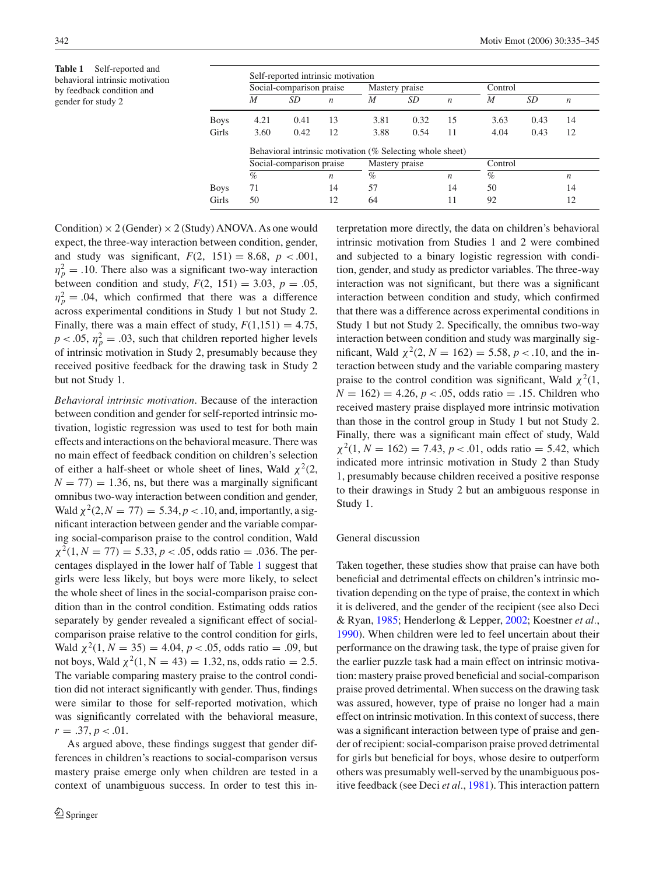<span id="page-7-0"></span>**Table 1** Self-reported and behavioral intrinsic motivation by feedback condition and gender for study 2

|       | Social-comparison praise |      |                  | Mastery praise                                            |      |                  | Control |      |                  |
|-------|--------------------------|------|------------------|-----------------------------------------------------------|------|------------------|---------|------|------------------|
|       | M                        | SD   | $\boldsymbol{n}$ | M                                                         | SD   | $\boldsymbol{n}$ | M       | SD   | $\boldsymbol{n}$ |
| Boys  | 4.21                     | 0.41 | 13               | 3.81                                                      | 0.32 | 15               | 3.63    | 0.43 | 14               |
| Girls | 3.60                     | 0.42 | 12               | 3.88                                                      | 0.54 | 11               | 4.04    | 0.43 | 12               |
|       |                          |      |                  | Behavioral intrinsic motivation (% Selecting whole sheet) |      |                  |         |      |                  |
|       | Social-comparison praise |      |                  | Mastery praise                                            |      |                  | Control |      |                  |
|       | $\%$                     |      | n                | $\%$                                                      |      | n                | $\%$    |      | $\boldsymbol{n}$ |

Boys 71 14 57 14 50 14 Girls 50 12 64 11 92 12

Condition)  $\times$  2 (Gender)  $\times$  2 (Study) ANOVA. As one would expect, the three-way interaction between condition, gender, and study was significant,  $F(2, 151) = 8.68$ ,  $p < .001$ ,  $\eta_p^2 = .10$ . There also was a significant two-way interaction between condition and study,  $F(2, 151) = 3.03$ ,  $p = .05$ ,  $\eta_p^2 = .04$ , which confirmed that there was a difference across experimental conditions in Study 1 but not Study 2. Finally, there was a main effect of study,  $F(1,151) = 4.75$ ,  $p < .05$ ,  $\eta_p^2 = .03$ , such that children reported higher levels of intrinsic motivation in Study 2, presumably because they received positive feedback for the drawing task in Study 2 but not Study 1.

*Behavioral intrinsic motivation*. Because of the interaction between condition and gender for self-reported intrinsic motivation, logistic regression was used to test for both main effects and interactions on the behavioral measure. There was no main effect of feedback condition on children's selection of either a half-sheet or whole sheet of lines, Wald  $\chi^2(2, \mathbf{\cdot})$  $N = 77$  = 1.36, ns, but there was a marginally significant omnibus two-way interaction between condition and gender, Wald  $\chi^2(2, N = 77) = 5.34, p < .10$ , and, importantly, a significant interaction between gender and the variable comparing social-comparison praise to the control condition, Wald  $\chi^2(1, N = 77) = 5.33, p < .05,$  odds ratio = .036. The percentages displayed in the lower half of Table [1](#page-7-0) suggest that girls were less likely, but boys were more likely, to select the whole sheet of lines in the social-comparison praise condition than in the control condition. Estimating odds ratios separately by gender revealed a significant effect of socialcomparison praise relative to the control condition for girls, Wald  $\chi^2(1, N = 35) = 4.04, p < .05$ , odds ratio = .09, but not boys, Wald  $\chi^2(1, N = 43) = 1.32$ , ns, odds ratio = 2.5. The variable comparing mastery praise to the control condition did not interact significantly with gender. Thus, findings were similar to those for self-reported motivation, which was significantly correlated with the behavioral measure,  $r = .37, p < .01.$ 

As argued above, these findings suggest that gender differences in children's reactions to social-comparison versus mastery praise emerge only when children are tested in a context of unambiguous success. In order to test this in-

terpretation more directly, the data on children's behavioral intrinsic motivation from Studies 1 and 2 were combined and subjected to a binary logistic regression with condition, gender, and study as predictor variables. The three-way interaction was not significant, but there was a significant interaction between condition and study, which confirmed that there was a difference across experimental conditions in Study 1 but not Study 2. Specifically, the omnibus two-way interaction between condition and study was marginally significant, Wald  $\chi^2(2, N = 162) = 5.58, p < .10$ , and the interaction between study and the variable comparing mastery praise to the control condition was significant, Wald  $\chi^2(1)$ ,  $N = 162$ ) = 4.26,  $p < .05$ , odds ratio = .15. Children who received mastery praise displayed more intrinsic motivation than those in the control group in Study 1 but not Study 2. Finally, there was a significant main effect of study, Wald  $\chi^2(1, N = 162) = 7.43, p < .01$ , odds ratio = 5.42, which indicated more intrinsic motivation in Study 2 than Study 1, presumably because children received a positive response to their drawings in Study 2 but an ambiguous response in Study 1.

## General discussion

Taken together, these studies show that praise can have both beneficial and detrimental effects on children's intrinsic motivation depending on the type of praise, the context in which it is delivered, and the gender of the recipient (see also Deci & Ryan, [1985;](#page-9-1) Henderlong & Lepper, [2002;](#page-9-0) Koestner *et al.*, [1990\)](#page-9-27). When children were led to feel uncertain about their performance on the drawing task, the type of praise given for the earlier puzzle task had a main effect on intrinsic motivation: mastery praise proved beneficial and social-comparison praise proved detrimental. When success on the drawing task was assured, however, type of praise no longer had a main effect on intrinsic motivation. In this context of success, there was a significant interaction between type of praise and gender of recipient: social-comparison praise proved detrimental for girls but beneficial for boys, whose desire to outperform others was presumably well-served by the unambiguous positive feedback (see Deci *et al.*, [1981\)](#page-9-16). This interaction pattern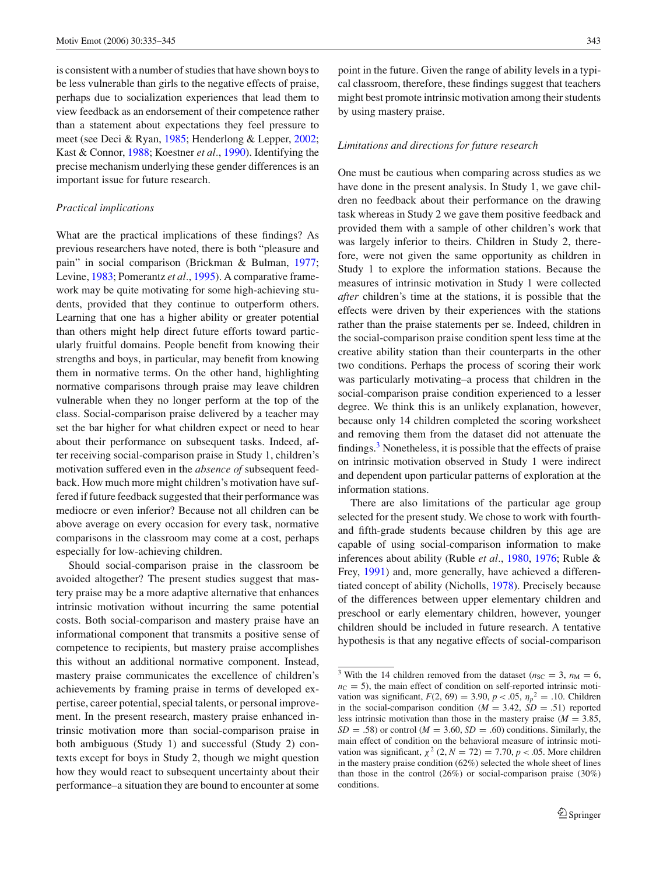is consistent with a number of studies that have shown boys to be less vulnerable than girls to the negative effects of praise, perhaps due to socialization experiences that lead them to view feedback as an endorsement of their competence rather than a statement about expectations they feel pressure to meet (see Deci & Ryan, [1985;](#page-9-1) Henderlong & Lepper, [2002;](#page-9-0) Kast & Connor, [1988;](#page-9-29) Koestner *et al.*, [1990\)](#page-9-27). Identifying the precise mechanism underlying these gender differences is an important issue for future research.

### *Practical implications*

What are the practical implications of these findings? As previous researchers have noted, there is both "pleasure and pain" in social comparison (Brickman & Bulman, [1977;](#page-9-14) Levine, [1983;](#page-10-2) Pomerantz *et al.*, [1995\)](#page-10-6). A comparative framework may be quite motivating for some high-achieving students, provided that they continue to outperform others. Learning that one has a higher ability or greater potential than others might help direct future efforts toward particularly fruitful domains. People benefit from knowing their strengths and boys, in particular, may benefit from knowing them in normative terms. On the other hand, highlighting normative comparisons through praise may leave children vulnerable when they no longer perform at the top of the class. Social-comparison praise delivered by a teacher may set the bar higher for what children expect or need to hear about their performance on subsequent tasks. Indeed, after receiving social-comparison praise in Study 1, children's motivation suffered even in the *absence of* subsequent feedback. How much more might children's motivation have suffered if future feedback suggested that their performance was mediocre or even inferior? Because not all children can be above average on every occasion for every task, normative comparisons in the classroom may come at a cost, perhaps especially for low-achieving children.

Should social-comparison praise in the classroom be avoided altogether? The present studies suggest that mastery praise may be a more adaptive alternative that enhances intrinsic motivation without incurring the same potential costs. Both social-comparison and mastery praise have an informational component that transmits a positive sense of competence to recipients, but mastery praise accomplishes this without an additional normative component. Instead, mastery praise communicates the excellence of children's achievements by framing praise in terms of developed expertise, career potential, special talents, or personal improvement. In the present research, mastery praise enhanced intrinsic motivation more than social-comparison praise in both ambiguous (Study 1) and successful (Study 2) contexts except for boys in Study 2, though we might question how they would react to subsequent uncertainty about their performance–a situation they are bound to encounter at some

point in the future. Given the range of ability levels in a typical classroom, therefore, these findings suggest that teachers might best promote intrinsic motivation among their students by using mastery praise.

# *Limitations and directions for future research*

One must be cautious when comparing across studies as we have done in the present analysis. In Study 1, we gave children no feedback about their performance on the drawing task whereas in Study 2 we gave them positive feedback and provided them with a sample of other children's work that was largely inferior to theirs. Children in Study 2, therefore, were not given the same opportunity as children in Study 1 to explore the information stations. Because the measures of intrinsic motivation in Study 1 were collected *after* children's time at the stations, it is possible that the effects were driven by their experiences with the stations rather than the praise statements per se. Indeed, children in the social-comparison praise condition spent less time at the creative ability station than their counterparts in the other two conditions. Perhaps the process of scoring their work was particularly motivating–a process that children in the social-comparison praise condition experienced to a lesser degree. We think this is an unlikely explanation, however, because only 14 children completed the scoring worksheet and removing them from the dataset did not attenuate the findings. $3$  Nonetheless, it is possible that the effects of praise on intrinsic motivation observed in Study 1 were indirect and dependent upon particular patterns of exploration at the information stations.

There are also limitations of the particular age group selected for the present study. We chose to work with fourthand fifth-grade students because children by this age are capable of using social-comparison information to make inferences about ability (Ruble *et al.*, [1980,](#page-10-14) [1976;](#page-10-23) Ruble & Frey, [1991\)](#page-10-3) and, more generally, have achieved a differentiated concept of ability (Nicholls, [1978\)](#page-10-24). Precisely because of the differences between upper elementary children and preschool or early elementary children, however, younger children should be included in future research. A tentative hypothesis is that any negative effects of social-comparison

<span id="page-8-0"></span><sup>&</sup>lt;sup>3</sup> With the 14 children removed from the dataset ( $n_{SC} = 3$ ,  $n_M = 6$ ,  $n<sub>C</sub> = 5$ ), the main effect of condition on self-reported intrinsic motivation was significant,  $F(2, 69) = 3.90, p < .05, \eta_p^2 = .10$ . Children in the social-comparison condition  $(M = 3.42, SD = .51)$  reported less intrinsic motivation than those in the mastery praise  $(M = 3.85,$  $SD = .58$ ) or control ( $M = 3.60$ ,  $SD = .60$ ) conditions. Similarly, the main effect of condition on the behavioral measure of intrinsic motivation was significant,  $\chi^2$  (2, *N* = 72) = 7.70, *p* < .05. More children in the mastery praise condition (62%) selected the whole sheet of lines than those in the control (26%) or social-comparison praise (30%) conditions.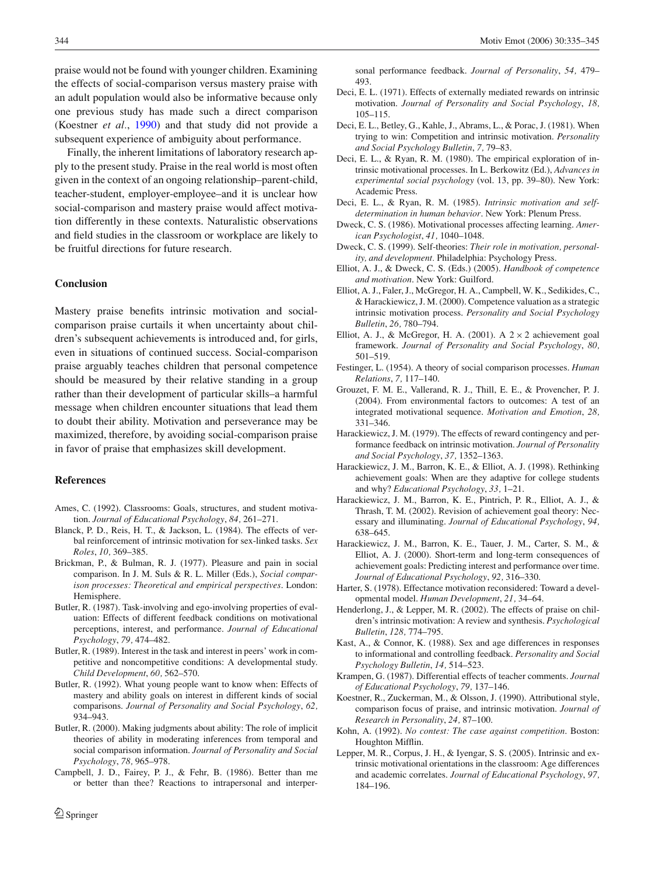praise would not be found with younger children. Examining the effects of social-comparison versus mastery praise with an adult population would also be informative because only one previous study has made such a direct comparison (Koestner *et al.*, [1990\)](#page-9-27) and that study did not provide a subsequent experience of ambiguity about performance.

Finally, the inherent limitations of laboratory research apply to the present study. Praise in the real world is most often given in the context of an ongoing relationship–parent-child, teacher-student, employer-employee–and it is unclear how social-comparison and mastery praise would affect motivation differently in these contexts. Naturalistic observations and field studies in the classroom or workplace are likely to be fruitful directions for future research.

# **Conclusion**

Mastery praise benefits intrinsic motivation and socialcomparison praise curtails it when uncertainty about children's subsequent achievements is introduced and, for girls, even in situations of continued success. Social-comparison praise arguably teaches children that personal competence should be measured by their relative standing in a group rather than their development of particular skills–a harmful message when children encounter situations that lead them to doubt their ability. Motivation and perseverance may be maximized, therefore, by avoiding social-comparison praise in favor of praise that emphasizes skill development.

#### **References**

- Ames, C. (1992). Classrooms: Goals, structures, and student motivation. *Journal of Educational Psychology*, *84,* 261–271.
- Blanck, P. D., Reis, H. T., & Jackson, L. (1984). The effects of verbal reinforcement of intrinsic motivation for sex-linked tasks. *Sex Roles*, *10,* 369–385.
- <span id="page-9-13"></span>Brickman, P., & Bulman, R. J. (1977). Pleasure and pain in social comparison. In J. M. Suls & R. L. Miller (Eds.), *Social comparison processes: Theoretical and empirical perspectives*. London: Hemisphere.
- <span id="page-9-14"></span>Butler, R. (1987). Task-involving and ego-involving properties of evaluation: Effects of different feedback conditions on motivational perceptions, interest, and performance. *Journal of Educational Psychology*, *79,* 474–482.
- <span id="page-9-18"></span>Butler, R. (1989). Interest in the task and interest in peers' work in competitive and noncompetitive conditions: A developmental study. *Child Development*, *60,* 562–570.
- <span id="page-9-17"></span>Butler, R. (1992). What young people want to know when: Effects of mastery and ability goals on interest in different kinds of social comparisons. *Journal of Personality and Social Psychology*, *62,* 934–943.
- <span id="page-9-5"></span>Butler, R. (2000). Making judgments about ability: The role of implicit theories of ability in moderating inferences from temporal and social comparison information. *Journal of Personality and Social Psychology*, *78,* 965–978.
- <span id="page-9-4"></span>Campbell, J. D., Fairey, P. J., & Fehr, B. (1986). Better than me or better than thee? Reactions to intrapersonal and interper-

sonal performance feedback. *Journal of Personality*, *54,* 479– 493.

- <span id="page-9-3"></span>Deci, E. L. (1971). Effects of externally mediated rewards on intrinsic motivation. *Journal of Personality and Social Psychology*, *18,* 105–115.
- <span id="page-9-11"></span>Deci, E. L., Betley, G., Kahle, J., Abrams, L., & Porac, J. (1981). When trying to win: Competition and intrinsic motivation. *Personality and Social Psychology Bulletin*, *7,* 79–83.
- <span id="page-9-16"></span>Deci, E. L., & Ryan, R. M. (1980). The empirical exploration of intrinsic motivational processes. In L. Berkowitz (Ed.), *Advances in experimental social psychology* (vol. 13, pp. 39–80). New York: Academic Press.
- <span id="page-9-6"></span><span id="page-9-1"></span>Deci, E. L., & Ryan, R. M. (1985). *Intrinsic motivation and selfdetermination in human behavior*. New York: Plenum Press.
- Dweck, C. S. (1986). Motivational processes affecting learning. *American Psychologist*, *41,* 1040–1048.
- <span id="page-9-21"></span>Dweck, C. S. (1999). Self-theories: *Their role in motivation, personality, and development.* Philadelphia: Psychology Press.
- <span id="page-9-22"></span>Elliot, A. J., & Dweck, C. S. (Eds.) (2005). *Handbook of competence and motivation*. New York: Guilford.
- <span id="page-9-10"></span>Elliot, A. J., Faler, J., McGregor, H. A., Campbell, W. K., Sedikides, C., & Harackiewicz, J. M. (2000). Competence valuation as a strategic intrinsic motivation process. *Personality and Social Psychology Bulletin*, *26,* 780–794.
- <span id="page-9-8"></span>Elliot, A. J., & McGregor, H. A. (2001). A  $2 \times 2$  achievement goal framework. *Journal of Personality and Social Psychology*, *80,* 501–519.
- <span id="page-9-24"></span>Festinger, L. (1954). A theory of social comparison processes. *Human Relations*, *7,* 117–140.
- <span id="page-9-2"></span>Grouzet, F. M. E., Vallerand, R. J., Thill, E. E., & Provencher, P. J. (2004). From environmental factors to outcomes: A test of an integrated motivational sequence. *Motivation and Emotion*, *28,* 331–346.
- <span id="page-9-9"></span>Harackiewicz, J. M. (1979). The effects of reward contingency and performance feedback on intrinsic motivation. *Journal of Personality and Social Psychology*, *37,* 1352–1363.
- <span id="page-9-12"></span>Harackiewicz, J. M., Barron, K. E., & Elliot, A. J. (1998). Rethinking achievement goals: When are they adaptive for college students and why? *Educational Psychology*, *33,* 1–21.
- <span id="page-9-25"></span>Harackiewicz, J. M., Barron, K. E., Pintrich, P. R., Elliot, A. J., & Thrash, T. M. (2002). Revision of achievement goal theory: Necessary and illuminating. *Journal of Educational Psychology*, *94,* 638–645.
- <span id="page-9-26"></span><span id="page-9-20"></span>Harackiewicz, J. M., Barron, K. E., Tauer, J. M., Carter, S. M., & Elliot, A. J. (2000). Short-term and long-term consequences of achievement goals: Predicting interest and performance over time. *Journal of Educational Psychology*, *92,* 316–330.
- <span id="page-9-23"></span>Harter, S. (1978). Effectance motivation reconsidered: Toward a developmental model. *Human Development*, *21,* 34–64.
- <span id="page-9-7"></span>Henderlong, J., & Lepper, M. R. (2002). The effects of praise on children's intrinsic motivation: A review and synthesis. *Psychological Bulletin*, *128,* 774–795.
- <span id="page-9-0"></span>Kast, A., & Connor, K. (1988). Sex and age differences in responses to informational and controlling feedback. *Personality and Social Psychology Bulletin*, *14,* 514–523.
- <span id="page-9-29"></span>Krampen, G. (1987). Differential effects of teacher comments. *Journal of Educational Psychology*, *79,* 137–146.
- <span id="page-9-19"></span>Koestner, R., Zuckerman, M., & Olsson, J. (1990). Attributional style, comparison focus of praise, and intrinsic motivation. *Journal of Research in Personality*, *24,* 87–100.
- <span id="page-9-27"></span>Kohn, A. (1992). *No contest: The case against competition*. Boston: Houghton Mifflin.
- <span id="page-9-28"></span><span id="page-9-15"></span>Lepper, M. R., Corpus, J. H., & Iyengar, S. S. (2005). Intrinsic and extrinsic motivational orientations in the classroom: Age differences and academic correlates. *Journal of Educational Psychology*, *97,* 184–196.